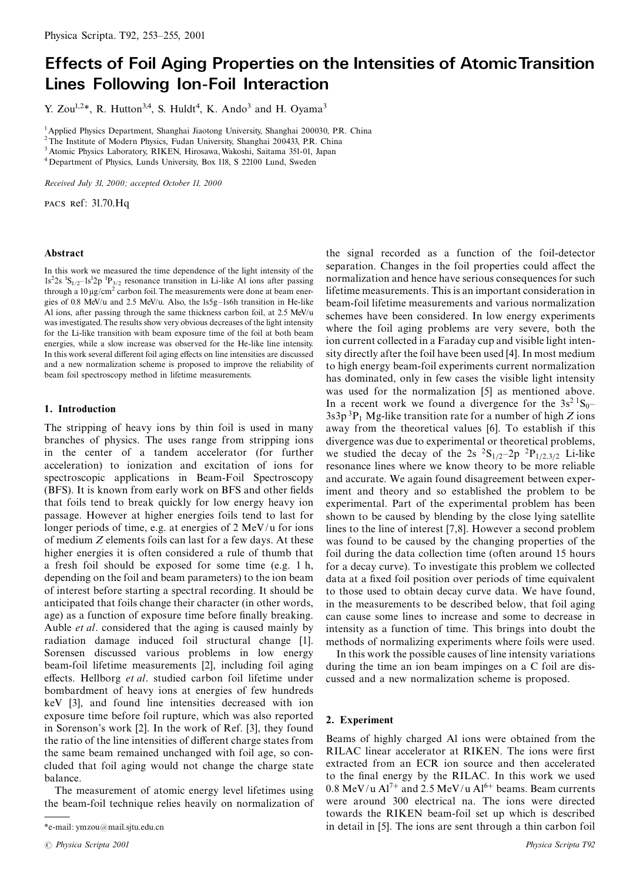# **Effects of Foil Aging Properties on the Intensities of Atomic Transition Lines Following Ion-Foil Interaction**

Y. Zou<sup>1,2\*</sup>, R. Hutton<sup>3,4</sup>, S. Huldt<sup>4</sup>, K. Ando<sup>3</sup> and H. Oyama<sup>3</sup>

<sup>1</sup> Applied Physics Department, Shanghai Jiaotong University, Shanghai 200030, P.R. China

<sup>2</sup> The Institute of Modern Physics, Fudan University, Shanghai 200433, P.R. China

 $^3$  Atomic Physics Laboratory, RIKEN, Hirosawa, Wakoshi, Saitama 351-01, Japan

<sup>4</sup> Department of Physics, Lunds University, Box 118, S 22100 Lund, Sweden

Received July 31, 2000; accepted October 11, 2000

PACS Ref: 31.70.Hq

# Abstract

In this work we measured the time dependence of the light intensity of the  $1s<sup>2</sup>2s<sup>-1</sup>S<sub>1/2</sub>-1s<sup>1</sup>2p<sup>-1</sup>P<sub>3/2</sub>$  resonance transition in Li-like Al ions after passing through a 10  $\mu$ g/cm<sup>2</sup> carbon foil. The measurements were done at beam energies of 0.8 MeV/u and 2.5 MeV/u. Also, the 1s5g-1s6h transition in He-like Al ions, after passing through the same thickness carbon foil, at 2.5 MeV/u was investigated. The results show very obvious decreases of the light intensity for the Li-like transition with beam exposure time of the foil at both beam energies, while a slow increase was observed for the He-like line intensity. In this work several different foil aging effects on line intensities are discussed and a new normalization scheme is proposed to improve the reliability of beam foil spectroscopy method in lifetime measurements.

# 1. Introduction

The stripping of heavy ions by thin foil is used in many branches of physics. The uses range from stripping ions in the center of a tandem accelerator (for further acceleration) to ionization and excitation of ions for spectroscopic applications in Beam-Foil Spectroscopy (BFS). It is known from early work on BFS and other fields that foils tend to break quickly for low energy heavy ion passage. However at higher energies foils tend to last for longer periods of time, e.g. at energies of 2 MeV/u for ions of medium Z elements foils can last for a few days. At these higher energies it is often considered a rule of thumb that a fresh foil should be exposed for some time (e.g. 1 h, depending on the foil and beam parameters) to the ion beam of interest before starting a spectral recording. It should be anticipated that foils change their character (in other words, age) as a function of exposure time before finally breaking. Auble *et al.* considered that the aging is caused mainly by radiation damage induced foil structural change [1]. Sorensen discussed various problems in low energy beam-foil lifetime measurements [2], including foil aging effects. Hellborg et al. studied carbon foil lifetime under bombardment of heavy ions at energies of few hundreds keV [3], and found line intensities decreased with ion exposure time before foil rupture, which was also reported in Sorenson's work [2]. In the work of Ref. [3], they found the ratio of the line intensities of different charge states from the same beam remained unchanged with foil age, so concluded that foil aging would not change the charge state balance.

The measurement of atomic energy level lifetimes using the beam-foil technique relies heavily on normalization of the signal recorded as a function of the foil-detector separation. Changes in the foil properties could affect the normalization and hence have serious consequences for such lifetime measurements. This is an important consideration in beam-foil lifetime measurements and various normalization schemes have been considered. In low energy experiments where the foil aging problems are very severe, both the ion current collected in a Faraday cup and visible light intensity directly after the foil have been used [4]. In most medium to high energy beam-foil experiments current normalization has dominated, only in few cases the visible light intensity was used for the normalization [5] as mentioned above. In a recent work we found a divergence for the  $3s^2$   $^1S_0$  $3s3p<sup>3</sup>P<sub>1</sub>$  Mg-like transition rate for a number of high Z ions away from the theoretical values [6]. To establish if this divergence was due to experimental or theoretical problems, we studied the decay of the 2s  ${}^{2}S_{1/2}$ -2p  ${}^{2}P_{1/2,3/2}$  Li-like resonance lines where we know theory to be more reliable and accurate. We again found disagreement between experiment and theory and so established the problem to be experimental. Part of the experimental problem has been shown to be caused by blending by the close lying satellite lines to the line of interest [7,8]. However a second problem was found to be caused by the changing properties of the foil during the data collection time (often around 15 hours for a decay curve). To investigate this problem we collected data at a fixed foil position over periods of time equivalent to those used to obtain decay curve data. We have found, in the measurements to be described below, that foil aging can cause some lines to increase and some to decrease in intensity as a function of time. This brings into doubt the methods of normalizing experiments where foils were used.

In this work the possible causes of line intensity variations during the time an ion beam impinges on a C foil are discussed and a new normalization scheme is proposed.

## 2. Experiment

Beams of highly charged Al ions were obtained from the RILAC linear accelerator at RIKEN. The ions were first extracted from an ECR ion source and then accelerated to the final energy by the RILAC. In this work we used  $0.8 \text{ MeV/u} \text{ Al}^{7+}$  and  $2.5 \text{ MeV/u} \text{ Al}^{6+}$  beams. Beam currents were around 300 electrical na. The ions were directed towards the RIKEN beam-foil set up which is described in detail in [5]. The ions are sent through a thin carbon foil

<sup>\*</sup>e-mail: ymzou@mail.sjtu.edu.cn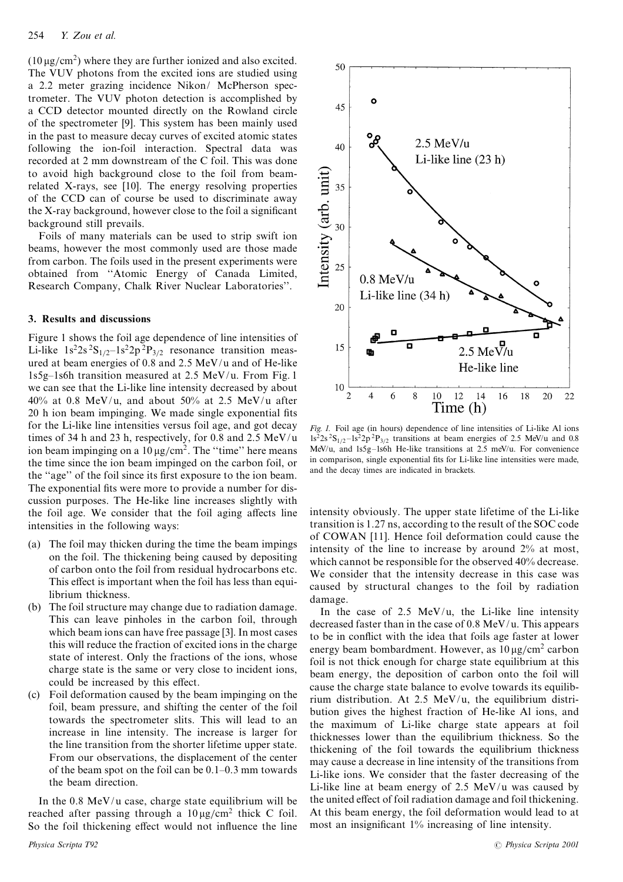$(10 \,\mu\text{g/cm}^2)$  where they are further ionized and also excited. The VUV photons from the excited ions are studied using a 2.2 meter grazing incidence Nikon/ McPherson spectrometer. The VUV photon detection is accomplished by a CCD detector mounted directly on the Rowland circle of the spectrometer [9]. This system has been mainly used in the past to measure decay curves of excited atomic states following the ion-foil interaction. Spectral data was recorded at 2 mm downstream of the C foil. This was done to avoid high background close to the foil from beamrelated X-rays, see [10]. The energy resolving properties of the CCD can of course be used to discriminate away the X-ray background, however close to the foil a significant background still prevails.

Foils of many materials can be used to strip swift ion beams, however the most commonly used are those made from carbon. The foils used in the present experiments were obtained from "Atomic Energy of Canada Limited, Research Company, Chalk River Nuclear Laboratories".

#### 3. Results and discussions

Figure 1 shows the foil age dependence of line intensities of Li-like  $1s^22s^2S_{1/2} - 1s^22p^2P_{3/2}$  resonance transition measured at beam energies of 0.8 and 2.5 MeV/u and of He-like 1s5g-1s6h transition measured at 2.5 MeV/u. From Fig. 1 we can see that the Li-like line intensity decreased by about 40% at 0.8 MeV/u, and about 50% at 2.5 MeV/u after 20 h ion beam impinging. We made single exponential fits for the Li-like line intensities versus foil age, and got decay times of 34 h and 23 h, respectively, for 0.8 and 2.5  $MeV/u$ ion beam impinging on a  $10 \mu g/cm^2$ . The "time" here means the time since the ion beam impinged on the carbon foil, or the "age" of the foil since its first exposure to the ion beam. The exponential fits were more to provide a number for discussion purposes. The He-like line increases slightly with the foil age. We consider that the foil aging affects line intensities in the following ways:

- (a) The foil may thicken during the time the beam impings on the foil. The thickening being caused by depositing of carbon onto the foil from residual hydrocarbons etc. This effect is important when the foil has less than equilibrium thickness.
- (b) The foil structure may change due to radiation damage. This can leave pinholes in the carbon foil, through which beam ions can have free passage [3]. In most cases this will reduce the fraction of excited ions in the charge state of interest. Only the fractions of the ions, whose charge state is the same or very close to incident ions, could be increased by this effect.
- (c) Foil deformation caused by the beam impinging on the foil, beam pressure, and shifting the center of the foil towards the spectrometer slits. This will lead to an increase in line intensity. The increase is larger for the line transition from the shorter lifetime upper state. From our observations, the displacement of the center of the beam spot on the foil can be  $0.1-0.3$  mm towards the beam direction.

In the  $0.8 \text{ MeV/u}$  case, charge state equilibrium will be reached after passing through a  $10 \mu g/cm^2$  thick C foil. So the foil thickening effect would not influence the line



Fig. 1. Foil age (in hours) dependence of line intensities of Li-like Al ions  $1s^22s^2S_{1/2} - 1s^22p^2P_{3/2}$  transitions at beam energies of 2.5 MeV/u and 0.8 MeV/u, and 1s5g-1s6h He-like transitions at 2.5 meV/u. For convenience in comparison, single exponential fits for Li-like line intensities were made, and the decay times are indicated in brackets.

intensity obviously. The upper state lifetime of the Li-like transition is 1.27 ns, according to the result of the SOC code of COWAN [11]. Hence foil deformation could cause the intensity of the line to increase by around  $2\%$  at most, which cannot be responsible for the observed 40% decrease. We consider that the intensity decrease in this case was caused by structural changes to the foil by radiation damage.

In the case of  $2.5 \text{ MeV/u}$ , the Li-like line intensity decreased faster than in the case of 0.8 MeV/u. This appears to be in conflict with the idea that foils age faster at lower energy beam bombardment. However, as  $10 \mu g/cm^2$  carbon foil is not thick enough for charge state equilibrium at this beam energy, the deposition of carbon onto the foil will cause the charge state balance to evolve towards its equilibrium distribution. At 2.5 MeV/u, the equilibrium distribution gives the highest fraction of He-like Al ions, and the maximum of Li-like charge state appears at foil thicknesses lower than the equilibrium thickness. So the thickening of the foil towards the equilibrium thickness may cause a decrease in line intensity of the transitions from Li-like ions. We consider that the faster decreasing of the Li-like line at beam energy of 2.5 MeV/u was caused by the united effect of foil radiation damage and foil thickening. At this beam energy, the foil deformation would lead to at most an insignificant 1% increasing of line intensity.